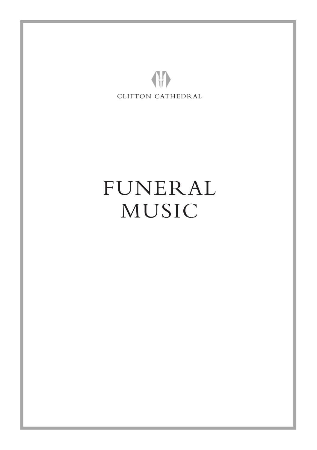

# FUNERAL MUSIC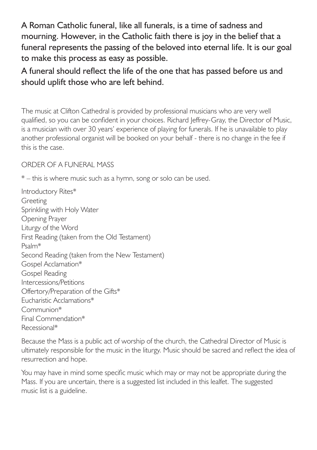A Roman Catholic funeral, like all funerals, is a time of sadness and mourning. However, in the Catholic faith there is joy in the belief that a funeral represents the passing of the beloved into eternal life. It is our goal to make this process as easy as possible.

A funeral should reflect the life of the one that has passed before us and should uplift those who are left behind.

The music at Clifton Cathedral is provided by professional musicians who are very well qualified, so you can be confident in your choices. Richard Jeffrey-Gray, the Director of Music, is a musician with over 30 years' experience of playing for funerals. If he is unavailable to play another professional organist will be booked on your behalf - there is no change in the fee if this is the case.

# ORDER OF A FUNERAL MASS

\* – this is where music such as a hymn, song or solo can be used.

Introductory Rites\* Greeting Sprinkling with Holy Water Opening Prayer Liturgy of the Word First Reading (taken from the Old Testament) Psalm\* Second Reading (taken from the New Testament) Gospel Acclamation\* Gospel Reading Intercessions/Petitions Offertory/Preparation of the Gifts\* Eucharistic Acclamations\* Communion\* Final Commendation\* Recessional\*

Because the Mass is a public act of worship of the church, the Cathedral Director of Music is ultimately responsible for the music in the liturgy. Music should be sacred and reflect the idea of resurrection and hope.

You may have in mind some specific music which may or may not be appropriate during the Mass. If you are uncertain, there is a suggested list included in this lealfet. The suggested music list is a guideline.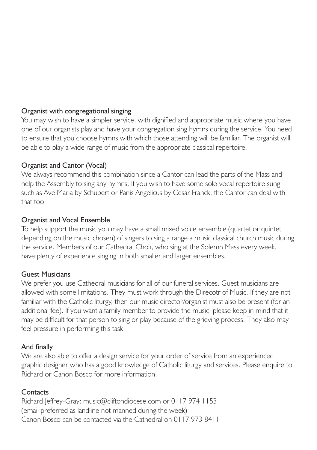## Organist with congregational singing

You may wish to have a simpler service, with dignified and appropriate music where you have one of our organists play and have your congregation sing hymns during the service. You need to ensure that you choose hymns with which those attending will be familiar. The organist will be able to play a wide range of music from the appropriate classical repertoire.

# Organist and Cantor (Vocal)

We always recommend this combination since a Cantor can lead the parts of the Mass and help the Assembly to sing any hymns. If you wish to have some solo vocal repertoire sung, such as Ave Maria by Schubert or Panis Angelicus by Cesar Franck, the Cantor can deal with that too.

# Organist and Vocal Ensemble

To help support the music you may have a small mixed voice ensemble (quartet or quintet depending on the music chosen) of singers to sing a range a music classical church music during the service. Members of our Cathedral Choir, who sing at the Solemn Mass every week, have plenty of experience singing in both smaller and larger ensembles.

#### Guest Musicians

We prefer you use Cathedral musicians for all of our funeral services. Guest musicians are allowed with some limitations. They must work through the Direcotr of Music. If they are not familiar with the Catholic liturgy, then our music director/organist must also be present (for an additional fee). If you want a family member to provide the music, please keep in mind that it may be difficult for that person to sing or play because of the grieving process. They also may feel pressure in performing this task.

# And finally

We are also able to offer a design service for your order of service from an experienced graphic designer who has a good knowledge of Catholic liturgy and services. Please enquire to Richard or Canon Bosco for more information.

# **Contacts**

Richard Jeffrey-Gray: music@cliftondiocese.com or 0117 974 1153 (email preferred as landline not manned during the week) Canon Bosco can be contacted via the Cathedral on 0117 973 8411